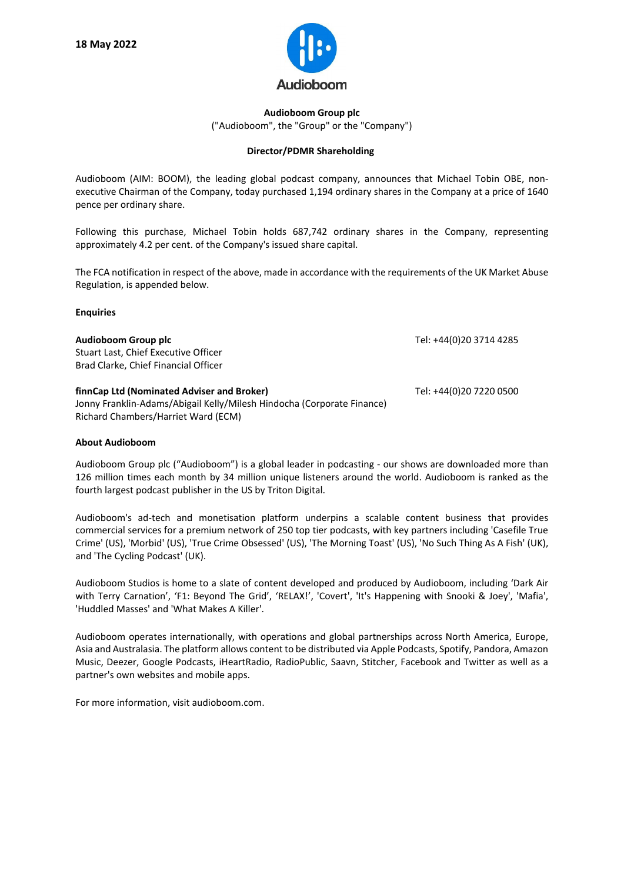

**Audioboom Group plc** ("Audioboom", the "Group" or the "Company")

## **Director/PDMR Shareholding**

Audioboom (AIM: BOOM), the leading global podcast company, announces that Michael Tobin OBE, nonexecutive Chairman of the Company, today purchased 1,194 ordinary shares in the Company at a price of 1640 pence per ordinary share.

Following this purchase, Michael Tobin holds 687,742 ordinary shares in the Company, representing approximately 4.2 per cent. of the Company's issued share capital.

The FCA notification in respect of the above, made in accordance with the requirements of the UK Market Abuse Regulation, is appended below.

## **Enquiries**

| Audioboom Group plc<br>Stuart Last, Chief Executive Officer<br>Brad Clarke, Chief Financial Officer                                                         | Tel: +44(0)20 3714 4285 |
|-------------------------------------------------------------------------------------------------------------------------------------------------------------|-------------------------|
| finnCap Ltd (Nominated Adviser and Broker)<br>Jonny Franklin-Adams/Abigail Kelly/Milesh Hindocha (Corporate Finance)<br>Richard Chambers/Harriet Ward (ECM) | Tel: +44(0)20 7220 0500 |

## **About Audioboom**

Audioboom Group plc ("Audioboom") is a global leader in podcasting - our shows are downloaded more than 126 million times each month by 34 million unique listeners around the world. Audioboom is ranked as the fourth largest podcast publisher in the US by Triton Digital.

Audioboom's ad-tech and monetisation platform underpins a scalable content business that provides commercial services for a premium network of 250 top tier podcasts, with key partners including 'Casefile True Crime' (US), 'Morbid' (US), 'True Crime Obsessed' (US), 'The Morning Toast' (US), 'No Such Thing As A Fish' (UK), and 'The Cycling Podcast' (UK).

Audioboom Studios is home to a slate of content developed and produced by Audioboom, including 'Dark Air with Terry Carnation', 'F1: Beyond The Grid', 'RELAX!', 'Covert', 'It's Happening with Snooki & Joey', 'Mafia', 'Huddled Masses' and 'What Makes A Killer'.

Audioboom operates internationally, with operations and global partnerships across North America, Europe, Asia and Australasia. The platform allows content to be distributed via Apple Podcasts, Spotify, Pandora, Amazon Music, Deezer, Google Podcasts, iHeartRadio, RadioPublic, Saavn, Stitcher, Facebook and Twitter as well as a partner's own websites and mobile apps.

For more information, visit audioboom.com.